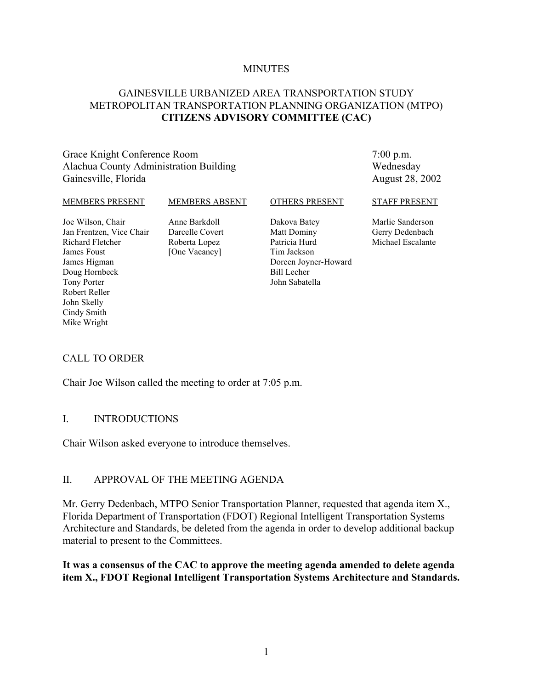#### **MINUTES**

## GAINESVILLE URBANIZED AREA TRANSPORTATION STUDY METROPOLITAN TRANSPORTATION PLANNING ORGANIZATION (MTPO) **CITIZENS ADVISORY COMMITTEE (CAC)**

#### Grace Knight Conference Room Alachua County Administration Building Gainesville, Florida

7:00 p.m. Wednesday August 28, 2002

#### MEMBERS PRESENT

#### MEMBERS ABSENT

#### OTHERS PRESENT

Joe Wilson, Chair Jan Frentzen, Vice Chair Richard Fletcher James Foust James Higman Doug Hornbeck Tony Porter Robert Reller John Skelly Cindy Smith Mike Wright

Anne Barkdoll Darcelle Covert Roberta Lopez [One Vacancy]

Dakova Batey Matt Dominy Patricia Hurd Tim Jackson Doreen Joyner-Howard Bill Lecher John Sabatella

#### STAFF PRESENT

Marlie Sanderson Gerry Dedenbach Michael Escalante

#### CALL TO ORDER

Chair Joe Wilson called the meeting to order at 7:05 p.m.

#### I. INTRODUCTIONS

Chair Wilson asked everyone to introduce themselves.

#### II. APPROVAL OF THE MEETING AGENDA

Mr. Gerry Dedenbach, MTPO Senior Transportation Planner, requested that agenda item X., Florida Department of Transportation (FDOT) Regional Intelligent Transportation Systems Architecture and Standards, be deleted from the agenda in order to develop additional backup material to present to the Committees.

#### **It was a consensus of the CAC to approve the meeting agenda amended to delete agenda item X., FDOT Regional Intelligent Transportation Systems Architecture and Standards.**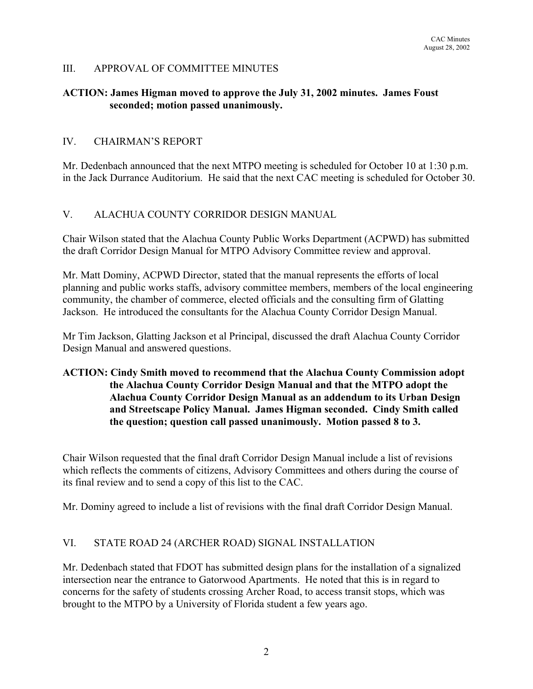#### III. APPROVAL OF COMMITTEE MINUTES

#### **ACTION: James Higman moved to approve the July 31, 2002 minutes. James Foust seconded; motion passed unanimously.**

#### IV. CHAIRMAN'S REPORT

Mr. Dedenbach announced that the next MTPO meeting is scheduled for October 10 at 1:30 p.m. in the Jack Durrance Auditorium. He said that the next CAC meeting is scheduled for October 30.

## V. ALACHUA COUNTY CORRIDOR DESIGN MANUAL

Chair Wilson stated that the Alachua County Public Works Department (ACPWD) has submitted the draft Corridor Design Manual for MTPO Advisory Committee review and approval.

Mr. Matt Dominy, ACPWD Director, stated that the manual represents the efforts of local planning and public works staffs, advisory committee members, members of the local engineering community, the chamber of commerce, elected officials and the consulting firm of Glatting Jackson. He introduced the consultants for the Alachua County Corridor Design Manual.

Mr Tim Jackson, Glatting Jackson et al Principal, discussed the draft Alachua County Corridor Design Manual and answered questions.

## **ACTION: Cindy Smith moved to recommend that the Alachua County Commission adopt the Alachua County Corridor Design Manual and that the MTPO adopt the Alachua County Corridor Design Manual as an addendum to its Urban Design and Streetscape Policy Manual. James Higman seconded. Cindy Smith called the question; question call passed unanimously. Motion passed 8 to 3.**

Chair Wilson requested that the final draft Corridor Design Manual include a list of revisions which reflects the comments of citizens, Advisory Committees and others during the course of its final review and to send a copy of this list to the CAC.

Mr. Dominy agreed to include a list of revisions with the final draft Corridor Design Manual.

## VI. STATE ROAD 24 (ARCHER ROAD) SIGNAL INSTALLATION

Mr. Dedenbach stated that FDOT has submitted design plans for the installation of a signalized intersection near the entrance to Gatorwood Apartments. He noted that this is in regard to concerns for the safety of students crossing Archer Road, to access transit stops, which was brought to the MTPO by a University of Florida student a few years ago.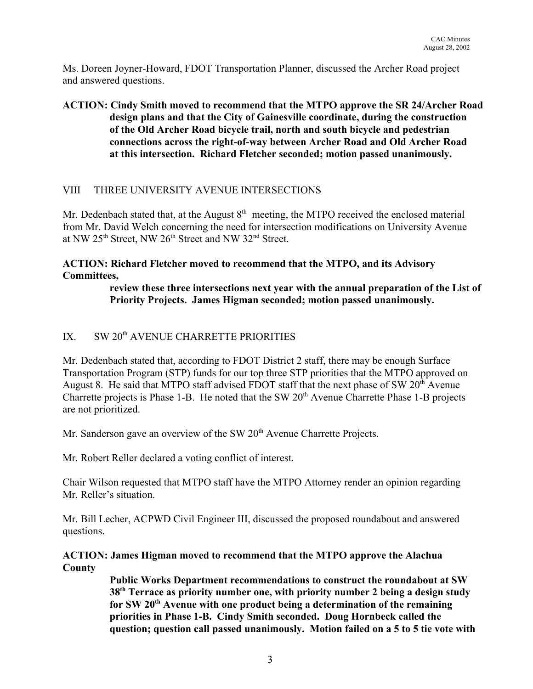Ms. Doreen Joyner-Howard, FDOT Transportation Planner, discussed the Archer Road project and answered questions.

# **ACTION: Cindy Smith moved to recommend that the MTPO approve the SR 24/Archer Road design plans and that the City of Gainesville coordinate, during the construction of the Old Archer Road bicycle trail, north and south bicycle and pedestrian connections across the right-of-way between Archer Road and Old Archer Road at this intersection. Richard Fletcher seconded; motion passed unanimously.**

## VIII THREE UNIVERSITY AVENUE INTERSECTIONS

Mr. Dedenbach stated that, at the August  $8<sup>th</sup>$  meeting, the MTPO received the enclosed material from Mr. David Welch concerning the need for intersection modifications on University Avenue at NW 25<sup>th</sup> Street, NW 26<sup>th</sup> Street and NW 32<sup>nd</sup> Street.

## **ACTION: Richard Fletcher moved to recommend that the MTPO, and its Advisory Committees,**

### **review these three intersections next year with the annual preparation of the List of Priority Projects. James Higman seconded; motion passed unanimously.**

# IX SW 20<sup>th</sup> AVENUE CHARRETTE PRIORITIES

Mr. Dedenbach stated that, according to FDOT District 2 staff, there may be enough Surface Transportation Program (STP) funds for our top three STP priorities that the MTPO approved on August 8. He said that MTPO staff advised FDOT staff that the next phase of SW  $20<sup>th</sup>$  Avenue Charrette projects is Phase 1-B. He noted that the SW 20<sup>th</sup> Avenue Charrette Phase 1-B projects are not prioritized.

Mr. Sanderson gave an overview of the SW  $20<sup>th</sup>$  Avenue Charrette Projects.

Mr. Robert Reller declared a voting conflict of interest.

Chair Wilson requested that MTPO staff have the MTPO Attorney render an opinion regarding Mr. Reller's situation.

Mr. Bill Lecher, ACPWD Civil Engineer III, discussed the proposed roundabout and answered questions.

#### **ACTION: James Higman moved to recommend that the MTPO approve the Alachua County**

**Public Works Department recommendations to construct the roundabout at SW 38th Terrace as priority number one, with priority number 2 being a design study for SW 20th Avenue with one product being a determination of the remaining priorities in Phase 1-B. Cindy Smith seconded. Doug Hornbeck called the question; question call passed unanimously. Motion failed on a 5 to 5 tie vote with**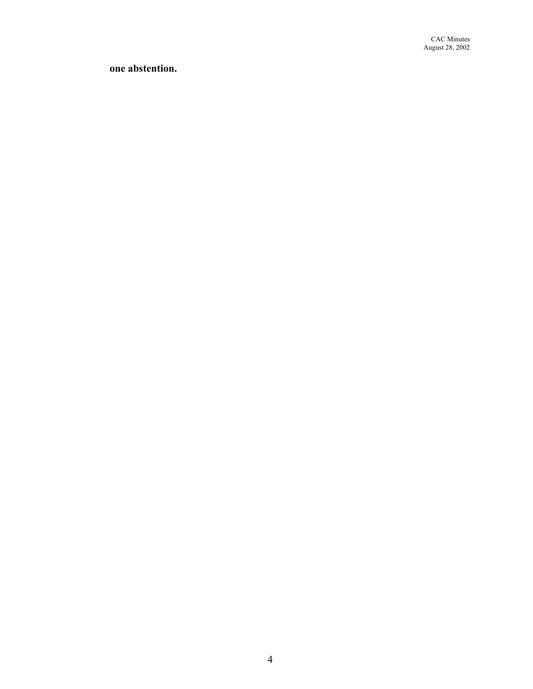**one abstention.**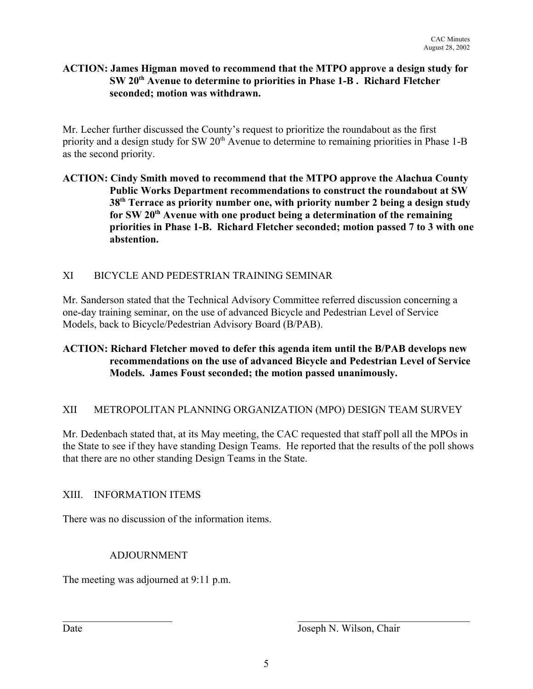### **ACTION: James Higman moved to recommend that the MTPO approve a design study for SW 20th Avenue to determine to priorities in Phase 1-B . Richard Fletcher seconded; motion was withdrawn.**

Mr. Lecher further discussed the County's request to prioritize the roundabout as the first priority and a design study for SW 20<sup>th</sup> Avenue to determine to remaining priorities in Phase 1-B as the second priority.

## **ACTION: Cindy Smith moved to recommend that the MTPO approve the Alachua County Public Works Department recommendations to construct the roundabout at SW 38th Terrace as priority number one, with priority number 2 being a design study** for SW 20<sup>th</sup> Avenue with one product being a determination of the remaining **priorities in Phase 1-B. Richard Fletcher seconded; motion passed 7 to 3 with one abstention.**

# XI BICYCLE AND PEDESTRIAN TRAINING SEMINAR

Mr. Sanderson stated that the Technical Advisory Committee referred discussion concerning a one-day training seminar, on the use of advanced Bicycle and Pedestrian Level of Service Models, back to Bicycle/Pedestrian Advisory Board (B/PAB).

## **ACTION: Richard Fletcher moved to defer this agenda item until the B/PAB develops new recommendations on the use of advanced Bicycle and Pedestrian Level of Service Models. James Foust seconded; the motion passed unanimously.**

## XII METROPOLITAN PLANNING ORGANIZATION (MPO) DESIGN TEAM SURVEY

Mr. Dedenbach stated that, at its May meeting, the CAC requested that staff poll all the MPOs in the State to see if they have standing Design Teams. He reported that the results of the poll shows that there are no other standing Design Teams in the State.

## XIII. INFORMATION ITEMS

There was no discussion of the information items.

# ADJOURNMENT

The meeting was adjourned at 9:11 p.m.

 $\_$  , and the contribution of the contribution of  $\overline{L}$  , and  $\overline{L}$  , and  $\overline{L}$  , and  $\overline{L}$  , and  $\overline{L}$